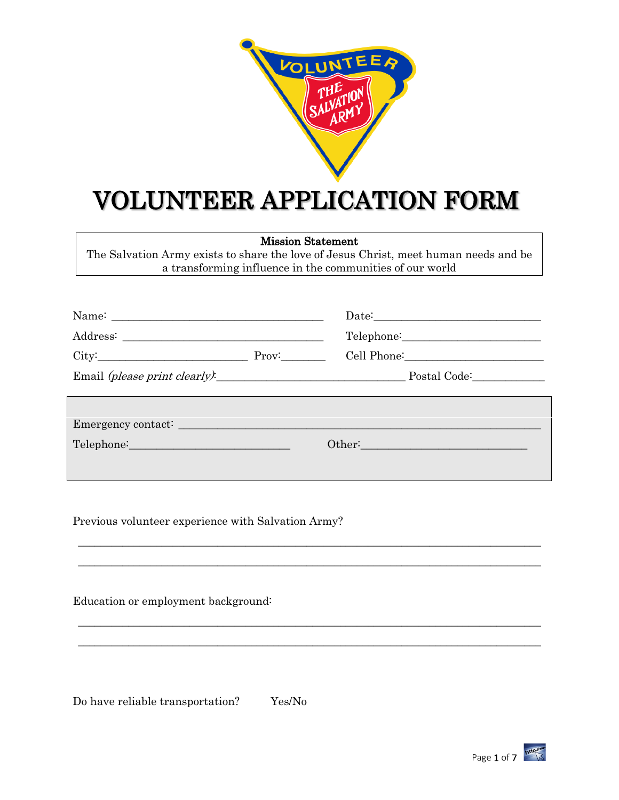

# VOLUNTEER APPLICATION FORM

Mission Statement

The Salvation Army exists to share the love of Jesus Christ, meet human needs and be a transforming influence in the communities of our world

|                                                                                                                                                                                                                                | Date:                                                                                                                                                                                                                          |  |
|--------------------------------------------------------------------------------------------------------------------------------------------------------------------------------------------------------------------------------|--------------------------------------------------------------------------------------------------------------------------------------------------------------------------------------------------------------------------------|--|
|                                                                                                                                                                                                                                |                                                                                                                                                                                                                                |  |
| $City:$ $Prov:$ $Prov:$                                                                                                                                                                                                        | Cell Phone: 2008                                                                                                                                                                                                               |  |
|                                                                                                                                                                                                                                | Email (please print clearly). Postal Code:                                                                                                                                                                                     |  |
|                                                                                                                                                                                                                                |                                                                                                                                                                                                                                |  |
| Telephone: The Contract of the Contract of the Contract of the Contract of the Contract of the Contract of the Contract of the Contract of the Contract of the Contract of the Contract of the Contract of the Contract of the | Other: New York Changes and Changes and Changes and Changes and Changes and Changes and Changes and Changes and Changes and Changes and Changes and Changes and Changes and Changes and Changes and Changes and Changes and Ch |  |

 \_\_\_\_\_\_\_\_\_\_\_\_\_\_\_\_\_\_\_\_\_\_\_\_\_\_\_\_\_\_\_\_\_\_\_\_\_\_\_\_\_\_\_\_\_\_\_\_\_\_\_\_\_\_\_\_\_\_\_\_\_\_\_\_\_\_\_\_\_\_\_\_\_\_\_\_\_\_\_\_\_\_\_ \_\_\_\_\_\_\_\_\_\_\_\_\_\_\_\_\_\_\_\_\_\_\_\_\_\_\_\_\_\_\_\_\_\_\_\_\_\_\_\_\_\_\_\_\_\_\_\_\_\_\_\_\_\_\_\_\_\_\_\_\_\_\_\_\_\_\_\_\_\_\_\_\_\_\_\_\_\_\_\_\_\_\_

 \_\_\_\_\_\_\_\_\_\_\_\_\_\_\_\_\_\_\_\_\_\_\_\_\_\_\_\_\_\_\_\_\_\_\_\_\_\_\_\_\_\_\_\_\_\_\_\_\_\_\_\_\_\_\_\_\_\_\_\_\_\_\_\_\_\_\_\_\_\_\_\_\_\_\_\_\_\_\_\_\_\_\_ \_\_\_\_\_\_\_\_\_\_\_\_\_\_\_\_\_\_\_\_\_\_\_\_\_\_\_\_\_\_\_\_\_\_\_\_\_\_\_\_\_\_\_\_\_\_\_\_\_\_\_\_\_\_\_\_\_\_\_\_\_\_\_\_\_\_\_\_\_\_\_\_\_\_\_\_\_\_\_\_\_\_\_

Previous volunteer experience with Salvation Army?

Education or employment background:

Do have reliable transportation? Yes/No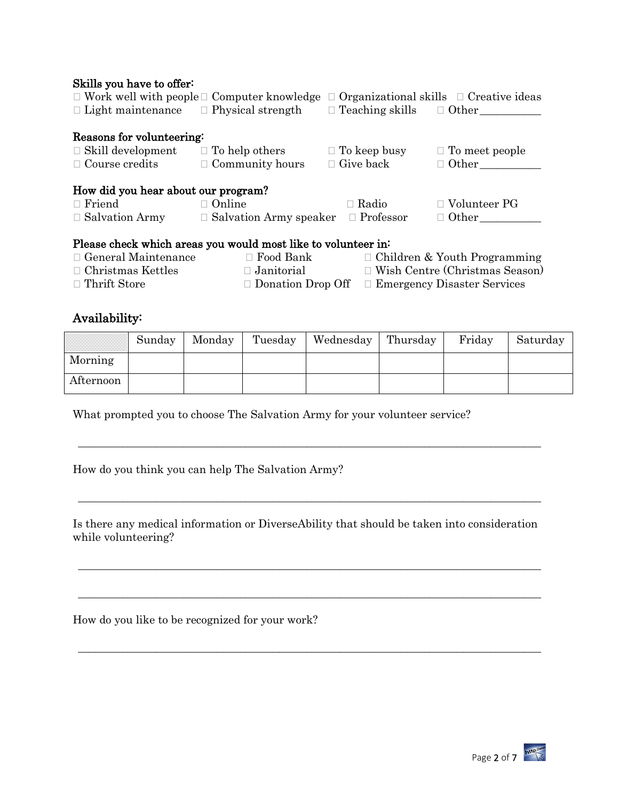#### Skills you have to offer:

| $\Box$ Work well with people $\Box$ Computer knowledge<br>$\Box$ Organizational skills $\Box$ Creative ideas |                               |                                     |                                       |  |  |  |  |  |  |
|--------------------------------------------------------------------------------------------------------------|-------------------------------|-------------------------------------|---------------------------------------|--|--|--|--|--|--|
| $\Box$ Light maintenance $\Box$ Physical strength                                                            |                               | $\Box$ Teaching skills $\Box$ Other |                                       |  |  |  |  |  |  |
|                                                                                                              |                               |                                     |                                       |  |  |  |  |  |  |
| Reasons for volunteering:                                                                                    |                               |                                     |                                       |  |  |  |  |  |  |
| $\Box$ Skill development                                                                                     | $\Box$ To help others         | $\Box$ To keep busy                 | $\Box$ To meet people                 |  |  |  |  |  |  |
| $\Box$ Course credits                                                                                        | $\Box$ Community hours        | $\Box$ Give back                    | $\Box$ Other                          |  |  |  |  |  |  |
|                                                                                                              |                               |                                     |                                       |  |  |  |  |  |  |
| How did you hear about our program?                                                                          |                               |                                     |                                       |  |  |  |  |  |  |
| $\Box$ Friend                                                                                                | $\Box$ Online                 | $\Box$ Radio                        | $\Box$ Volunteer PG                   |  |  |  |  |  |  |
| $\Box$ Salvation Army                                                                                        | $\Box$ Salvation Army speaker | $\Box$ Professor                    | $\Box$ Other                          |  |  |  |  |  |  |
|                                                                                                              |                               |                                     |                                       |  |  |  |  |  |  |
| Please check which areas you would most like to volunteer in:                                                |                               |                                     |                                       |  |  |  |  |  |  |
| $\Box$ General Maintenance<br>$\Box$ Food Bank                                                               |                               |                                     | $\Box$ Children & Youth Programming   |  |  |  |  |  |  |
| $\Box$ Christmas Kettles<br>$\Box$ Janitorial                                                                |                               |                                     | $\Box$ Wish Centre (Christmas Season) |  |  |  |  |  |  |
| $\Box$ Thrift Store<br>$\Box$ Donation Drop Off                                                              |                               |                                     | $\Box$ Emergency Disaster Services    |  |  |  |  |  |  |

#### Availability:

| .<br>----------------------<br>----------------------- | Sunday | Monday | Tuesday | Wednesday | Thursday | Friday | Saturday |
|--------------------------------------------------------|--------|--------|---------|-----------|----------|--------|----------|
| Morning                                                |        |        |         |           |          |        |          |
| Afternoon                                              |        |        |         |           |          |        |          |

What prompted you to choose The Salvation Army for your volunteer service?

How do you think you can help The Salvation Army?

Is there any medical information or DiverseAbility that should be taken into consideration while volunteering?

\_\_\_\_\_\_\_\_\_\_\_\_\_\_\_\_\_\_\_\_\_\_\_\_\_\_\_\_\_\_\_\_\_\_\_\_\_\_\_\_\_\_\_\_\_\_\_\_\_\_\_\_\_\_\_\_\_\_\_\_\_\_\_\_\_\_\_\_\_\_\_\_\_\_\_\_\_\_\_\_\_\_\_

\_\_\_\_\_\_\_\_\_\_\_\_\_\_\_\_\_\_\_\_\_\_\_\_\_\_\_\_\_\_\_\_\_\_\_\_\_\_\_\_\_\_\_\_\_\_\_\_\_\_\_\_\_\_\_\_\_\_\_\_\_\_\_\_\_\_\_\_\_\_\_\_\_\_\_\_\_\_\_\_\_\_\_

\_\_\_\_\_\_\_\_\_\_\_\_\_\_\_\_\_\_\_\_\_\_\_\_\_\_\_\_\_\_\_\_\_\_\_\_\_\_\_\_\_\_\_\_\_\_\_\_\_\_\_\_\_\_\_\_\_\_\_\_\_\_\_\_\_\_\_\_\_\_\_\_\_\_\_\_\_\_\_\_\_\_\_

\_\_\_\_\_\_\_\_\_\_\_\_\_\_\_\_\_\_\_\_\_\_\_\_\_\_\_\_\_\_\_\_\_\_\_\_\_\_\_\_\_\_\_\_\_\_\_\_\_\_\_\_\_\_\_\_\_\_\_\_\_\_\_\_\_\_\_\_\_\_\_\_\_\_\_\_\_\_\_\_\_\_\_

\_\_\_\_\_\_\_\_\_\_\_\_\_\_\_\_\_\_\_\_\_\_\_\_\_\_\_\_\_\_\_\_\_\_\_\_\_\_\_\_\_\_\_\_\_\_\_\_\_\_\_\_\_\_\_\_\_\_\_\_\_\_\_\_\_\_\_\_\_\_\_\_\_\_\_\_\_\_\_\_\_\_\_

How do you like to be recognized for your work?

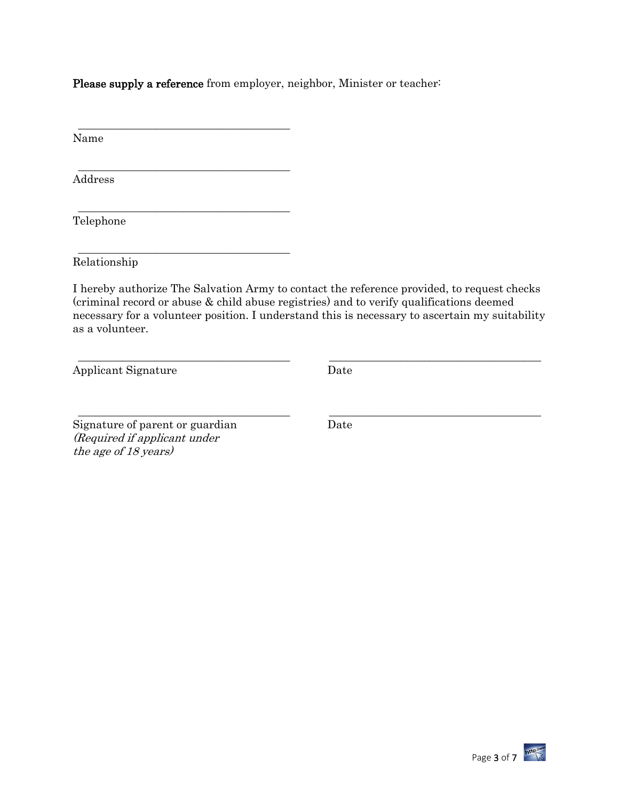Please supply a reference from employer, neighbor, Minister or teacher:

\_\_\_\_\_\_\_\_\_\_\_\_\_\_\_\_\_\_\_\_\_\_\_\_\_\_\_\_\_\_\_\_\_\_\_\_\_\_

\_\_\_\_\_\_\_\_\_\_\_\_\_\_\_\_\_\_\_\_\_\_\_\_\_\_\_\_\_\_\_\_\_\_\_\_\_\_

\_\_\_\_\_\_\_\_\_\_\_\_\_\_\_\_\_\_\_\_\_\_\_\_\_\_\_\_\_\_\_\_\_\_\_\_\_\_

\_\_\_\_\_\_\_\_\_\_\_\_\_\_\_\_\_\_\_\_\_\_\_\_\_\_\_\_\_\_\_\_\_\_\_\_\_\_

Name

Address

Telephone

Relationship

I hereby authorize The Salvation Army to contact the reference provided, to request checks (criminal record or abuse & child abuse registries) and to verify qualifications deemed necessary for a volunteer position. I understand this is necessary to ascertain my suitability as a volunteer.

\_\_\_\_\_\_\_\_\_\_\_\_\_\_\_\_\_\_\_\_\_\_\_\_\_\_\_\_\_\_\_\_\_\_\_\_\_\_ \_\_\_\_\_\_\_\_\_\_\_\_\_\_\_\_\_\_\_\_\_\_\_\_\_\_\_\_\_\_\_\_\_\_\_\_\_\_

\_\_\_\_\_\_\_\_\_\_\_\_\_\_\_\_\_\_\_\_\_\_\_\_\_\_\_\_\_\_\_\_\_\_\_\_\_\_ \_\_\_\_\_\_\_\_\_\_\_\_\_\_\_\_\_\_\_\_\_\_\_\_\_\_\_\_\_\_\_\_\_\_\_\_\_\_

Applicant Signature Date

Signature of parent or guardian Date (Required if applicant under the age of 18 years)

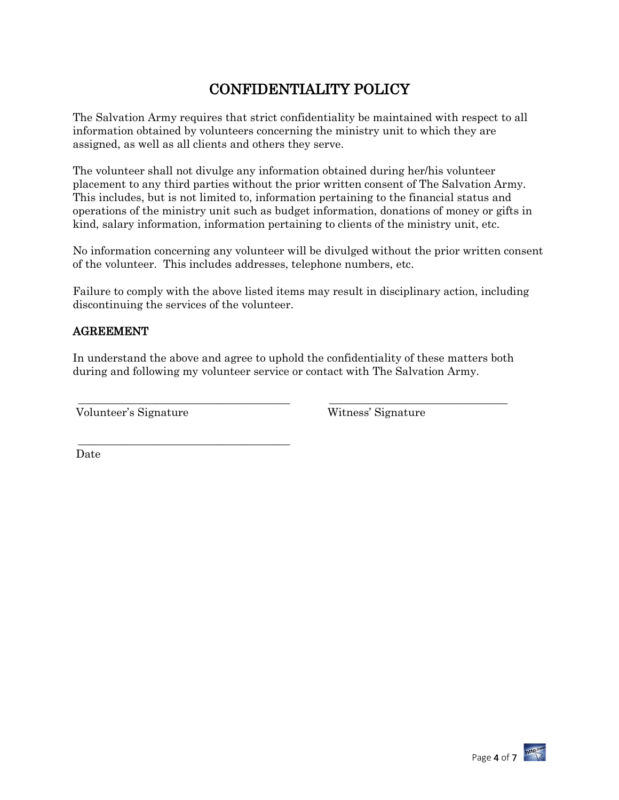# CONFIDENTIALITY POLICY

The Salvation Army requires that strict confidentiality be maintained with respect to all information obtained by volunteers concerning the ministry unit to which they are assigned, as well as all clients and others they serve.

The volunteer shall not divulge any information obtained during her/his volunteer placement to any third parties without the prior written consent of The Salvation Army. This includes, but is not limited to, information pertaining to the financial status and operations of the ministry unit such as budget information, donations of money or gifts in kind, salary information, information pertaining to clients of the ministry unit, etc.

No information concerning any volunteer will be divulged without the prior written consent of the volunteer. This includes addresses, telephone numbers, etc.

Failure to comply with the above listed items may result in disciplinary action, including discontinuing the services of the volunteer.

#### AGREEMENT

In understand the above and agree to uphold the confidentiality of these matters both during and following my volunteer service or contact with The Salvation Army.

\_\_\_\_\_\_\_\_\_\_\_\_\_\_\_\_\_\_\_\_\_\_\_\_\_\_\_\_\_\_\_\_\_\_\_\_\_\_ \_\_\_\_\_\_\_\_\_\_\_\_\_\_\_\_\_\_\_\_\_\_\_\_\_\_\_\_\_\_\_\_

Volunteer's Signature Witness' Signature

\_\_\_\_\_\_\_\_\_\_\_\_\_\_\_\_\_\_\_\_\_\_\_\_\_\_\_\_\_\_\_\_\_\_\_\_\_\_

Date

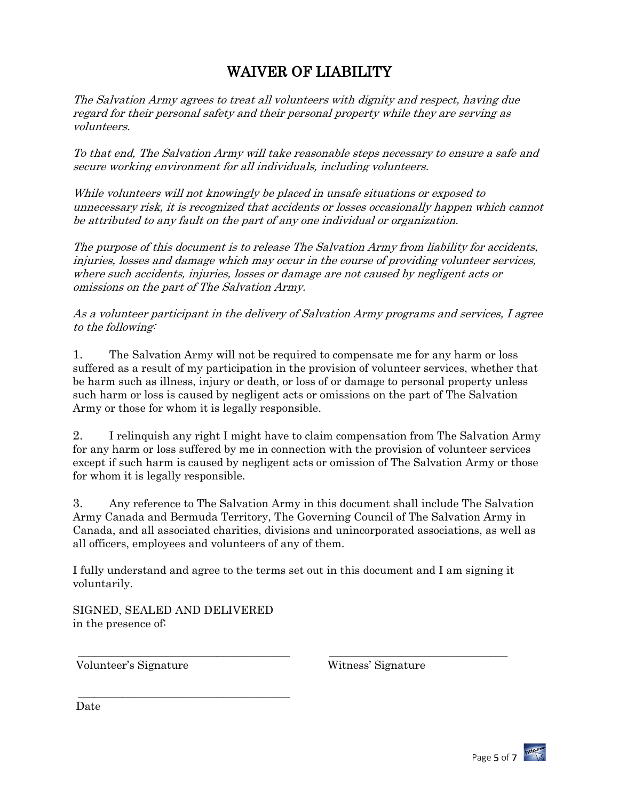# WAIVER OF LIABILITY

The Salvation Army agrees to treat all volunteers with dignity and respect, having due regard for their personal safety and their personal property while they are serving as volunteers.

To that end, The Salvation Army will take reasonable steps necessary to ensure a safe and secure working environment for all individuals, including volunteers.

While volunteers will not knowingly be placed in unsafe situations or exposed to unnecessary risk, it is recognized that accidents or losses occasionally happen which cannot be attributed to any fault on the part of any one individual or organization.

The purpose of this document is to release The Salvation Army from liability for accidents, injuries, losses and damage which may occur in the course of providing volunteer services, where such accidents, injuries, losses or damage are not caused by negligent acts or omissions on the part of The Salvation Army.

As a volunteer participant in the delivery of Salvation Army programs and services, I agree to the following:

1. The Salvation Army will not be required to compensate me for any harm or loss suffered as a result of my participation in the provision of volunteer services, whether that be harm such as illness, injury or death, or loss of or damage to personal property unless such harm or loss is caused by negligent acts or omissions on the part of The Salvation Army or those for whom it is legally responsible.

2. I relinquish any right I might have to claim compensation from The Salvation Army for any harm or loss suffered by me in connection with the provision of volunteer services except if such harm is caused by negligent acts or omission of The Salvation Army or those for whom it is legally responsible.

3. Any reference to The Salvation Army in this document shall include The Salvation Army Canada and Bermuda Territory, The Governing Council of The Salvation Army in Canada, and all associated charities, divisions and unincorporated associations, as well as all officers, employees and volunteers of any of them.

I fully understand and agree to the terms set out in this document and I am signing it voluntarily.

\_\_\_\_\_\_\_\_\_\_\_\_\_\_\_\_\_\_\_\_\_\_\_\_\_\_\_\_\_\_\_\_\_\_\_\_\_\_ \_\_\_\_\_\_\_\_\_\_\_\_\_\_\_\_\_\_\_\_\_\_\_\_\_\_\_\_\_\_\_\_

SIGNED, SEALED AND DELIVERED in the presence of:

\_\_\_\_\_\_\_\_\_\_\_\_\_\_\_\_\_\_\_\_\_\_\_\_\_\_\_\_\_\_\_\_\_\_\_\_\_\_

Volunteer's Signature Witness' Signature

Date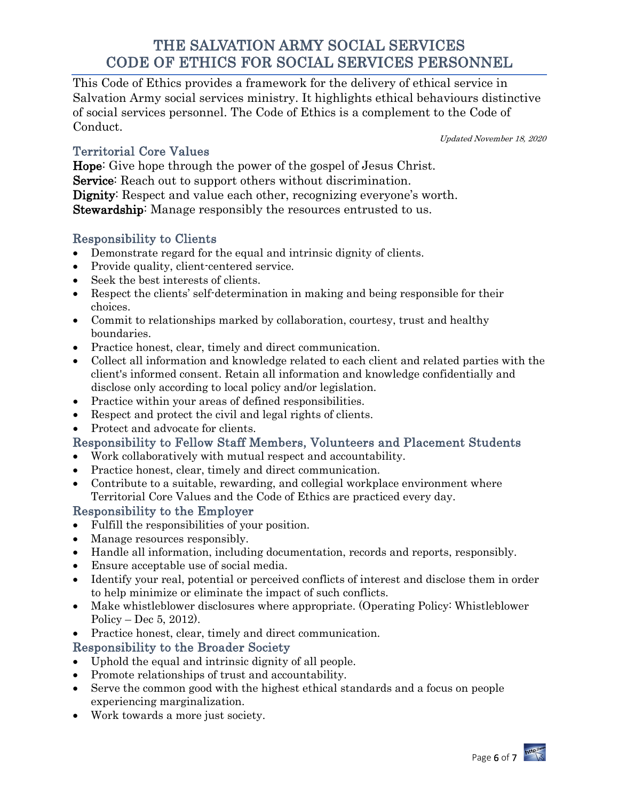# THE SALVATION ARMY SOCIAL SERVICES CODE OF ETHICS FOR SOCIAL SERVICES PERSONNEL

This Code of Ethics provides a framework for the delivery of ethical service in Salvation Army social services ministry. It highlights ethical behaviours distinctive of social services personnel. The Code of Ethics is a complement to the Code of Conduct.

Territorial Core Values

Updated November 18, 2020

Hope: Give hope through the power of the gospel of Jesus Christ. Service: Reach out to support others without discrimination. Dignity: Respect and value each other, recognizing everyone's worth. Stewardship: Manage responsibly the resources entrusted to us.

## Responsibility to Clients

- Demonstrate regard for the equal and intrinsic dignity of clients.
- Provide quality, client-centered service.
- Seek the best interests of clients.
- Respect the clients' self-determination in making and being responsible for their choices.
- Commit to relationships marked by collaboration, courtesy, trust and healthy boundaries.
- Practice honest, clear, timely and direct communication.
- Collect all information and knowledge related to each client and related parties with the client's informed consent. Retain all information and knowledge confidentially and disclose only according to local policy and/or legislation.
- Practice within your areas of defined responsibilities.
- Respect and protect the civil and legal rights of clients.
- Protect and advocate for clients.

## Responsibility to Fellow Staff Members, Volunteers and Placement Students

- Work collaboratively with mutual respect and accountability.
- Practice honest, clear, timely and direct communication.
- Contribute to a suitable, rewarding, and collegial workplace environment where Territorial Core Values and the Code of Ethics are practiced every day.

### Responsibility to the Employer

- Fulfill the responsibilities of your position.
- Manage resources responsibly.
- Handle all information, including documentation, records and reports, responsibly.
- Ensure acceptable use of social media.
- Identify your real, potential or perceived conflicts of interest and disclose them in order to help minimize or eliminate the impact of such conflicts.
- Make whistleblower disclosures where appropriate. (Operating Policy: Whistleblower Policy – Dec 5, 2012).
- Practice honest, clear, timely and direct communication.

## Responsibility to the Broader Society

- Uphold the equal and intrinsic dignity of all people.
- Promote relationships of trust and accountability.
- Serve the common good with the highest ethical standards and a focus on people experiencing marginalization.
- Work towards a more just society.